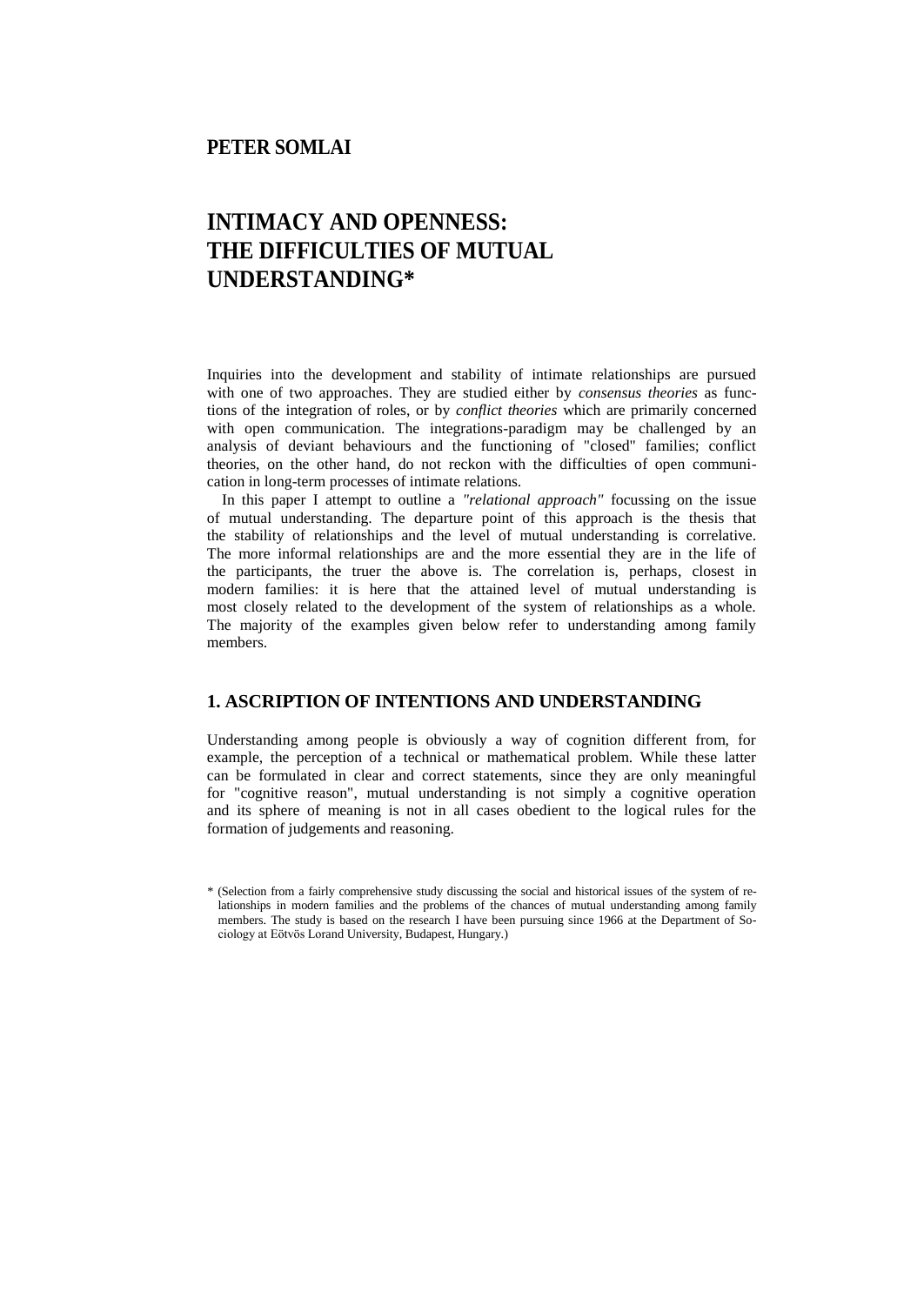## **PETER SOMLAI**

# **INTIMACY AND OPENNESS: THE DIFFICULTIES OF MUTUAL UNDERSTANDING\***

Inquiries into the development and stability of intimate relationships are pursued with one of two approaches. They are studied either by *consensus theories* as functions of the integration of roles, or by *conflict theories* which are primarily concerned with open communication. The integrations-paradigm may be challenged by an analysis of deviant behaviours and the functioning of "closed" families; conflict theories, on the other hand, do not reckon with the difficulties of open communication in long-term processes of intimate relations.

In this paper I attempt to outline a *"relational approach"* focussing on the issue of mutual understanding. The departure point of this approach is the thesis that the stability of relationships and the level of mutual understanding is correlative. The more informal relationships are and the more essential they are in the life of the participants, the truer the above is. The correlation is, perhaps, closest in modern families: it is here that the attained level of mutual understanding is most closely related to the development of the system of relationships as a whole. The majority of the examples given below refer to understanding among family members.

## **1. ASCRIPTION OF INTENTIONS AND UNDERSTANDING**

Understanding among people is obviously a way of cognition different from, for example, the perception of a technical or mathematical problem. While these latter can be formulated in clear and correct statements, since they are only meaningful for "cognitive reason", mutual understanding is not simply a cognitive operation and its sphere of meaning is not in all cases obedient to the logical rules for the formation of judgements and reasoning.

<sup>\* (</sup>Selection from a fairly comprehensive study discussing the social and historical issues of the system of relationships in modern families and the problems of the chances of mutual understanding among family members. The study is based on the research I have been pursuing since 1966 at the Department of Sociology at Eötvös Lorand University, Budapest, Hungary.)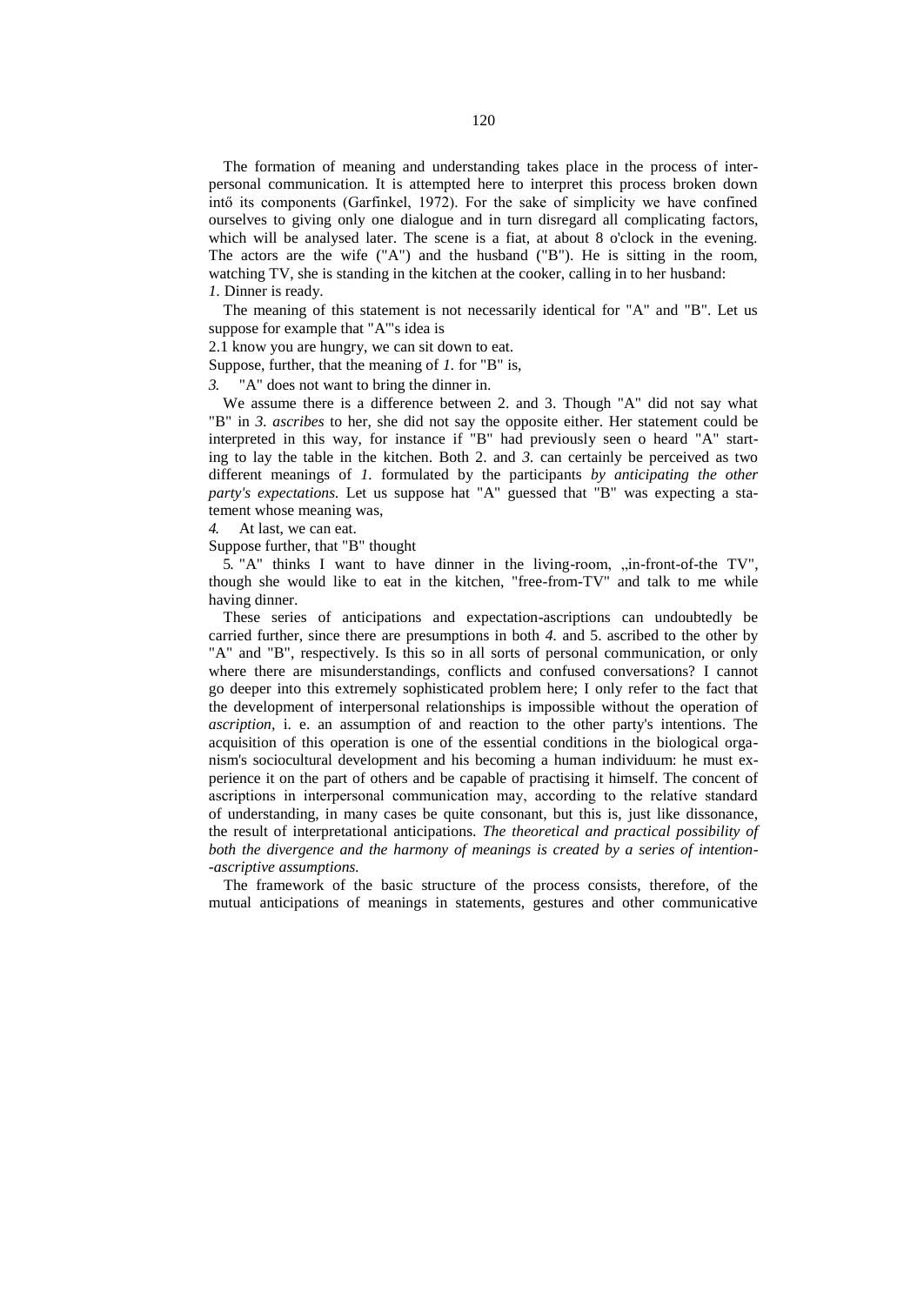The formation of meaning and understanding takes place in the process of interpersonal communication. It is attempted here to interpret this process broken down intő its components (Garfinkel, 1972). For the sake of simplicity we have confined ourselves to giving only one dialogue and in turn disregard all complicating factors, which will be analysed later. The scene is a fiat, at about 8 o'clock in the evening. The actors are the wife ("A") and the husband ("B"). He is sitting in the room, watching TV, she is standing in the kitchen at the cooker, calling in to her husband: *1.* Dinner is ready.

The meaning of this statement is not necessarily identical for "A" and "B". Let us suppose for example that "A'"s idea is

2.1 know you are hungry, we can sit down to eat.

Suppose, further, that the meaning of *1.* for "B" is,

*3.* "A" does not want to bring the dinner in.

We assume there is a difference between 2. and 3. Though "A" did not say what "B" in *3. ascribes* to her, she did not say the opposite either. Her statement could be interpreted in this way, for instance if "B" had previously seen o heard "A" starting to lay the table in the kitchen. Both 2. and *3.* can certainly be perceived as two different meanings of *1.* formulated by the participants *by anticipating the other party's expectations.* Let us suppose hat "A" guessed that "B" was expecting a statement whose meaning was,

*4.* At last, we can eat.

Suppose further, that "B" thought

5. "A" thinks I want to have dinner in the living-room,  $\sin$ -front-of-the TV", though she would like to eat in the kitchen, "free-from-TV" and talk to me while having dinner.

These series of anticipations and expectation-ascriptions can undoubtedly be carried further, since there are presumptions in both *4.* and 5. ascribed to the other by "A" and "B", respectively. Is this so in all sorts of personal communication, or only where there are misunderstandings, conflicts and confused conversations? I cannot go deeper into this extremely sophisticated problem here; I only refer to the fact that the development of interpersonal relationships is impossible without the operation of *ascription,* i. e. an assumption of and reaction to the other party's intentions. The acquisition of this operation is one of the essential conditions in the biological organism's sociocultural development and his becoming a human individuum: he must experience it on the part of others and be capable of practising it himself. The concent of ascriptions in interpersonal communication may, according to the relatíve standard of understanding, in many cases be quite consonant, but this is, just like dissonance, the result of interpretational anticipations. *The theoretical and practical possibility of both the divergence and the harmony of meanings is created by a series of intention- -ascriptive assumptions.*

The framework of the basic structure of the process consists, therefore, of the mutual anticipations of meanings in statements, gestures and other communicative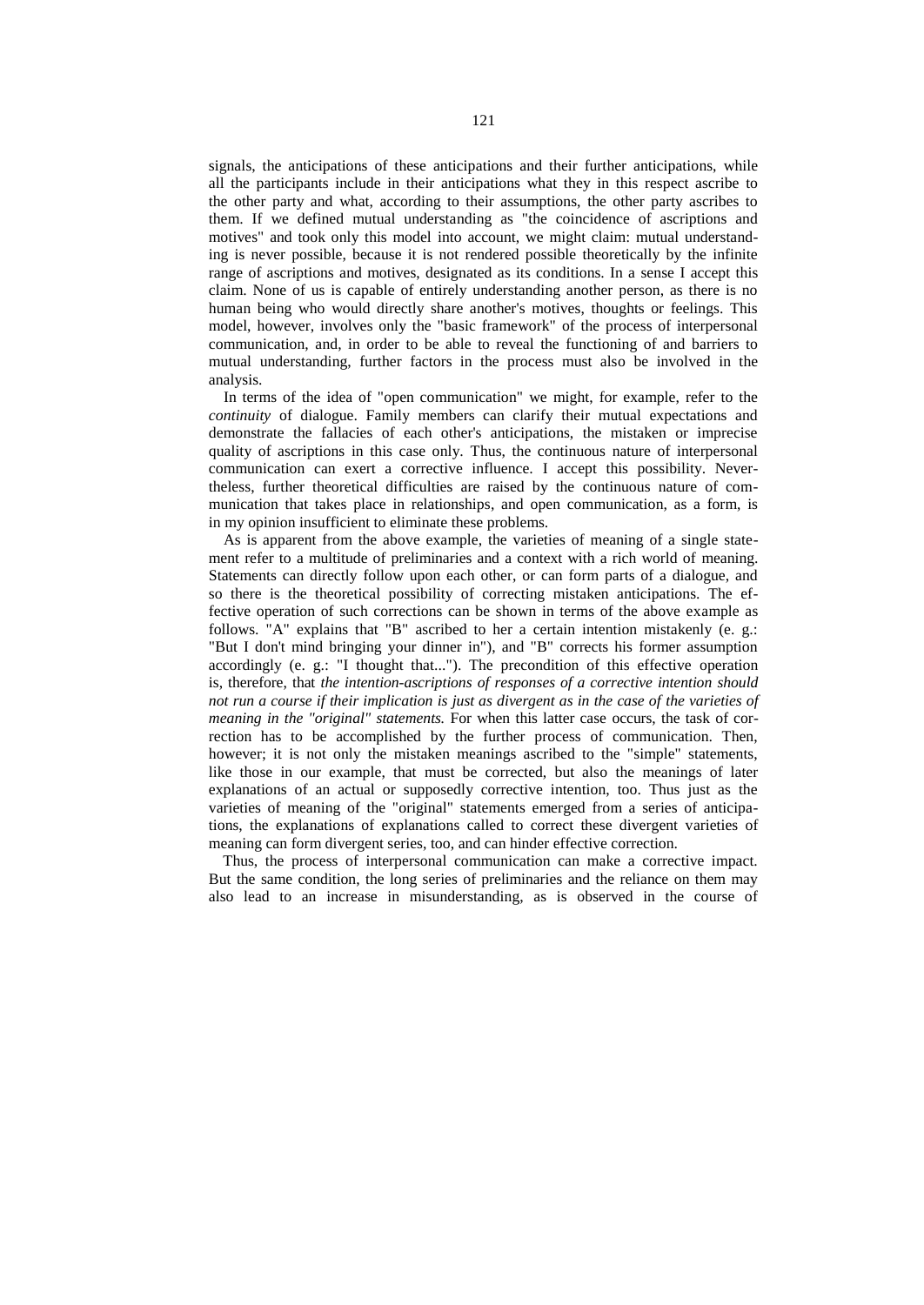signals, the anticipations of these anticipations and their further anticipations, while all the participants include in their anticipations what they in this respect ascribe to the other party and what, according to their assumptions, the other party ascribes to them. If we defined mutual understanding as "the coincidence of ascriptions and motives" and took only this model into account, we might claim: mutual understanding is never possible, because it is not rendered possible theoretically by the infinite range of ascriptions and motives, designated as its conditions. In a sense I accept this claim. None of us is capable of entirely understanding another person, as there is no human being who would directly share another's motives, thoughts or feelings. This model, however, involves only the "basic framework" of the process of interpersonal communication, and, in order to be able to reveal the functioning of and barriers to mutual understanding, further factors in the process must also be involved in the analysis.

In terms of the idea of "open communication" we might, for example, refer to the *continuity* of dialogue. Family members can clarify their mutual expectations and demonstrate the fallacies of each other's anticipations, the mistaken or imprecise quality of ascriptions in this case only. Thus, the continuous nature of interpersonal communication can exert a corrective influence. I accept this possibility. Nevertheless, further theoretical difficulties are raised by the continuous nature of communication that takes place in relationships, and open communication, as a form, is in my opinion insufficient to eliminate these problems.

As is apparent from the above example, the varieties of meaning of a single statement refer to a multitude of preliminaries and a context with a rich world of meaning. Statements can directly follow upon each other, or can form parts of a dialogue, and so there is the theoretical possibility of correcting mistaken anticipations. The effective operation of such corrections can be shown in terms of the above example as follows. "A" explains that "B" ascribed to her a certain intention mistakenly (e. g.: "But I don't mind bringing your dinner in"), and "B" corrects his former assumption accordingly (e. g.: "I thought that..."). The precondition of this effective operation is, therefore, that *the intention-ascriptions of responses of a corrective intention should not run a course if their implication is just as divergent as in the case of the varieties of meaning in the "original" statements*. For when this latter case occurs, the task of correction has to be accomplished by the further process of communication. Then, however; it is not only the mistaken meanings ascribed to the "simple" statements, like those in our example, that must be corrected, but also the meanings of later explanations of an actual or supposedly corrective intention, too. Thus just as the varieties of meaning of the "original" statements emerged from a series of anticipations, the explanations of explanations called to correct these divergent varieties of meaning can form divergent series, too, and can hinder effective correction.

Thus, the process of interpersonal communication can make a corrective impact. But the same condition, the long series of preliminaries and the reliance on them may also lead to an increase in misunderstanding, as is observed in the course of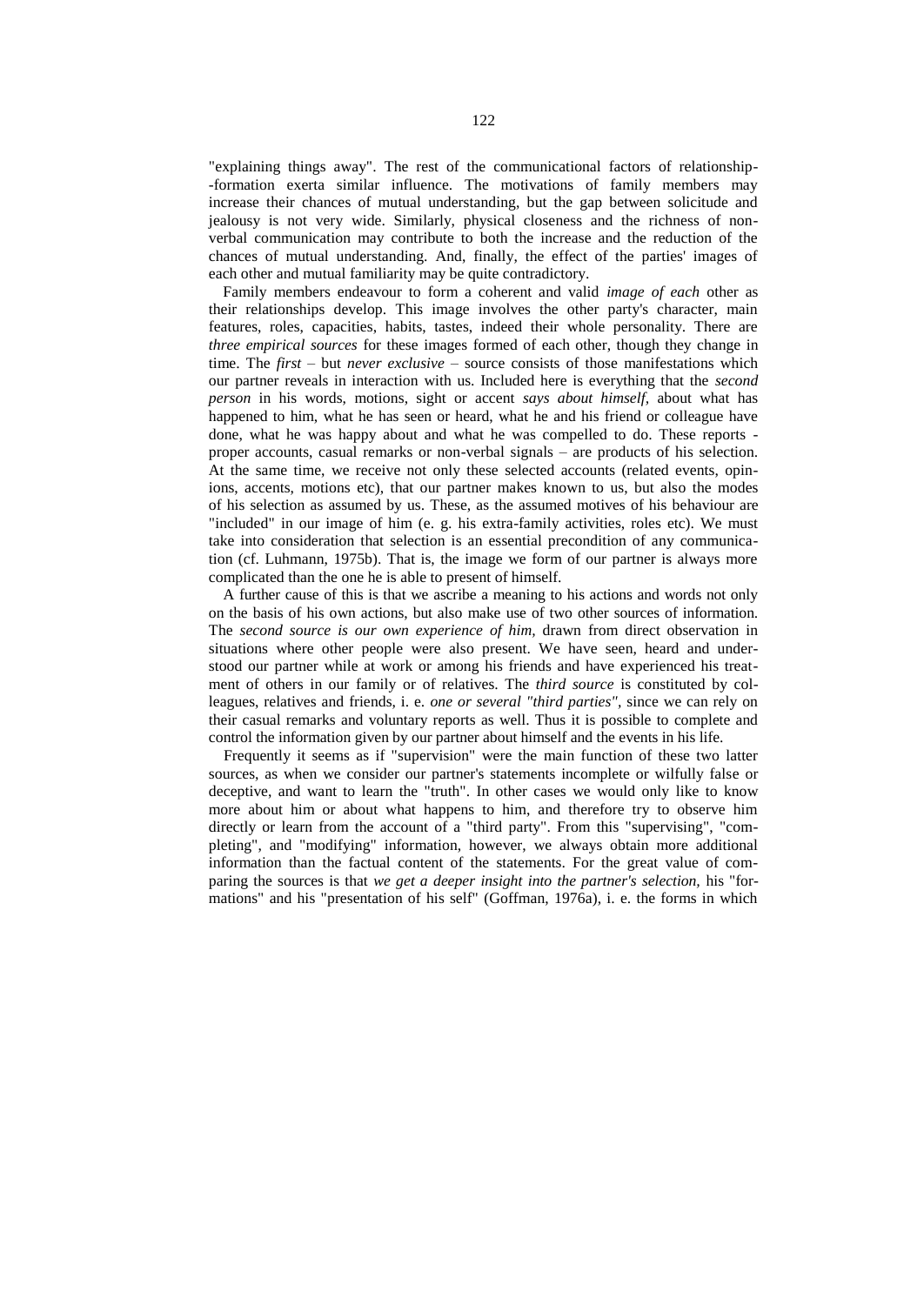"explaining things away". The rest of the communicational factors of relationship- -formation exerta similar influence. The motivations of family members may increase their chances of mutual understanding, but the gap between solicitude and jealousy is not very wide. Similarly, physical closeness and the richness of nonverbal communication may contribute to both the increase and the reduction of the chances of mutual understanding. And, finally, the effect of the parties' images of each other and mutual familiarity may be quite contradictory.

Family members endeavour to form a coherent and valid *image of each* other as their relationships develop. This image involves the other party's character, main features, roles, capacities, habits, tastes, indeed their whole personality. There are *three empirical sources* for these images formed of each other, though they change in time. The *first –* but *never exclusive –* source consists of those manifestations which our partner reveals in interaction with us. Included here is everything that the *second person* in his words, motions, sight or accent *says about himself,* about what has happened to him, what he has seen or heard, what he and his friend or colleague have done, what he was happy about and what he was compelled to do. These reports proper accounts, casual remarks or non-verbal signals – are products of his selection. At the same time, we receive not only these selected accounts (related events, opinions, accents, motions etc), that our partner makes known to us, but also the modes of his selection as assumed by us. These, as the assumed motives of his behaviour are "included" in our image of him (e. g. his extra-family activities, roles etc). We must take into consideration that selection is an essential precondition of any communication (cf. Luhmann, 1975b). That is, the image we form of our partner is always more complicated than the one he is able to present of himself.

A further cause of this is that we ascribe a meaning to his actions and words not only on the basis of his own actions, but also make use of two other sources of information. The *second source is our own experience of him,* drawn from direct observation in situations where other people were also present. We have seen, heard and understood our partner while at work or among his friends and have experienced his treatment of others in our family or of relatives. The *third source* is constituted by colleagues, relatives and friends, i. e. *one or several "third parties",* since we can rely on their casual remarks and voluntary reports as well. Thus it is possible to complete and control the information given by our partner about himself and the events in his life.

Frequently it seems as if "supervision" were the main function of these two latter sources, as when we consider our partner's statements incomplete or wilfully false or deceptive, and want to learn the "truth". In other cases we would only like to know more about him or about what happens to him, and therefore try to observe him directly or learn from the account of a "third party". From this "supervising", "completing", and "modifying" information, however, we always obtain more additional information than the factual content of the statements. For the great value of comparing the sources is that *we get a deeper insight into the partner's selection,* his "formations" and his "presentation of his self" (Goffman, 1976a), i. e. the forms in which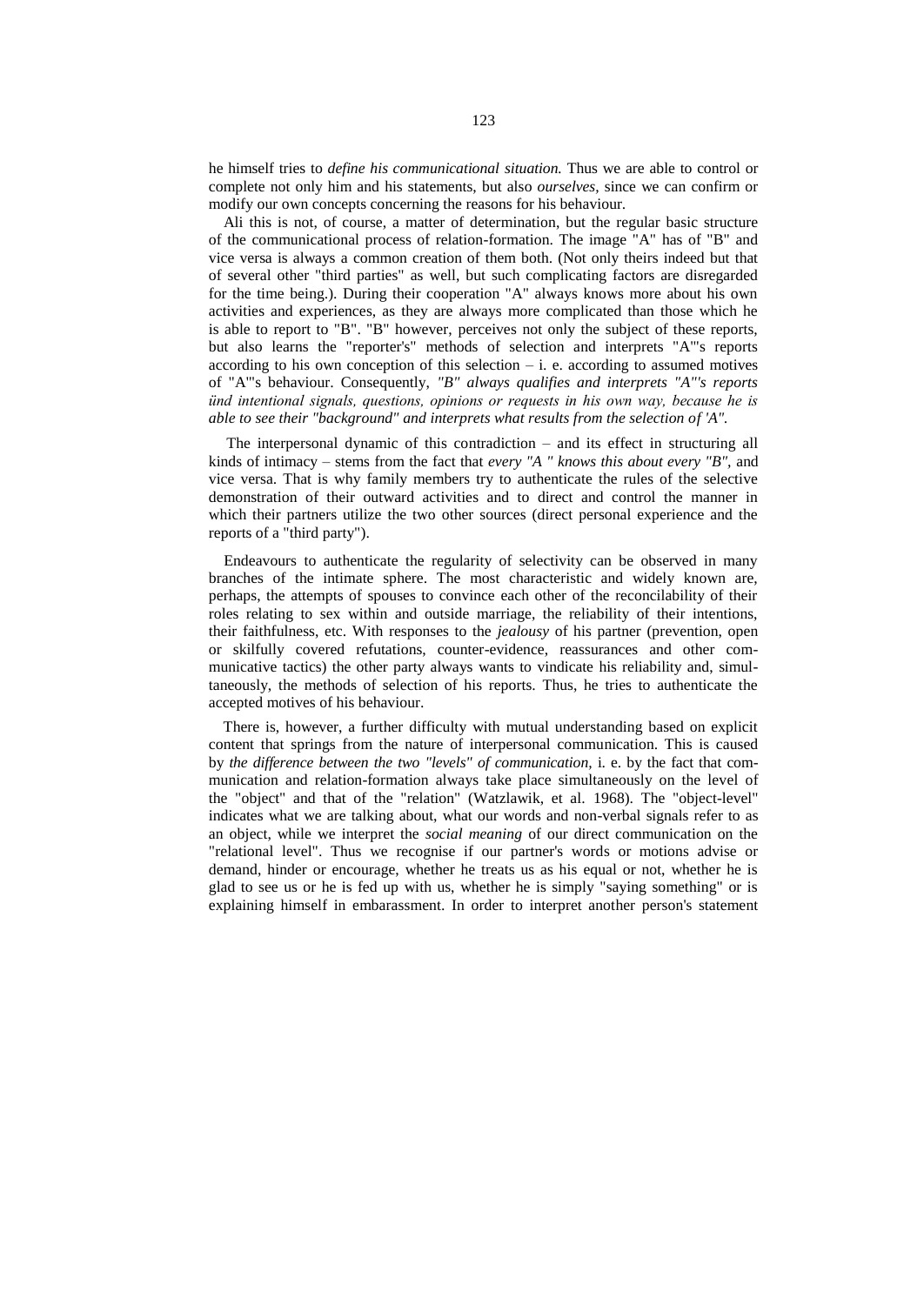he himself tries to *define his communicational situation.* Thus we are able to control or complete not only him and his statements, but also *ourselves,* since we can confirm or modify our own concepts concerning the reasons for his behaviour.

Ali this is not, of course, a matter of determination, but the regular basic structure of the communicational process of relation-formation. The image "A" has of "B" and vice versa is always a common creation of them both. (Not only theirs indeed but that of several other "third parties" as well, but such complicating factors are disregarded for the time being.). During their cooperation "A" always knows more about his own activities and experiences, as they are always more complicated than those which he is able to report to "B". "B" however, perceives not only the subject of these reports, but also learns the "reporter's" methods of selection and interprets "A'"s reports according to his own conception of this selection  $-$  i. e. according to assumed motives of "A'"s behaviour. Consequently, *"B" always qualifies and interprets "A"'s reports ünd intentional signals, questions, opinions or requests in his own way, because he is able to see their "background" and interprets what results from the selection of 'A".*

The interpersonal dynamic of this contradiction – and its effect in structuring all kinds of intimacy – stems from the fact that *every "A " knows this about every "B",* and vice versa. That is why family members try to authenticate the rules of the selective demonstration of their outward activities and to direct and control the manner in which their partners utilize the two other sources (direct personal experience and the reports of a "third party").

Endeavours to authenticate the regularity of selectivity can be observed in many branches of the intimate sphere. The most characteristic and widely known are, perhaps, the attempts of spouses to convince each other of the reconcilability of their roles relating to sex within and outside marriage, the reliability of their intentions, their faithfulness, etc. With responses to the *jealousy* of his partner (prevention, open or skilfully covered refutations, counter-evidence, reassurances and other communicative tactics) the other party always wants to vindicate his reliability and, simultaneously, the methods of selection of his reports. Thus, he tries to authenticate the accepted motives of his behaviour.

There is, however, a further difficulty with mutual understanding based on explicit content that springs from the nature of interpersonal communication. This is caused by *the difference between the two "levels" of communication,* i. e. by the fact that communication and relation-formation always take place simultaneously on the level of the "object" and that of the "relation" (Watzlawik, et al. 1968). The "object-level" indicates what we are talking about, what our words and non-verbal signals refer to as an object, while we interpret the *social meaning* of our direct communication on the "relational level". Thus we recognise if our partner's words or motions advise or demand, hinder or encourage, whether he treats us as his equal or not, whether he is glad to see us or he is fed up with us, whether he is simply "saying something" or is explaining himself in embarassment. In order to interpret another person's statement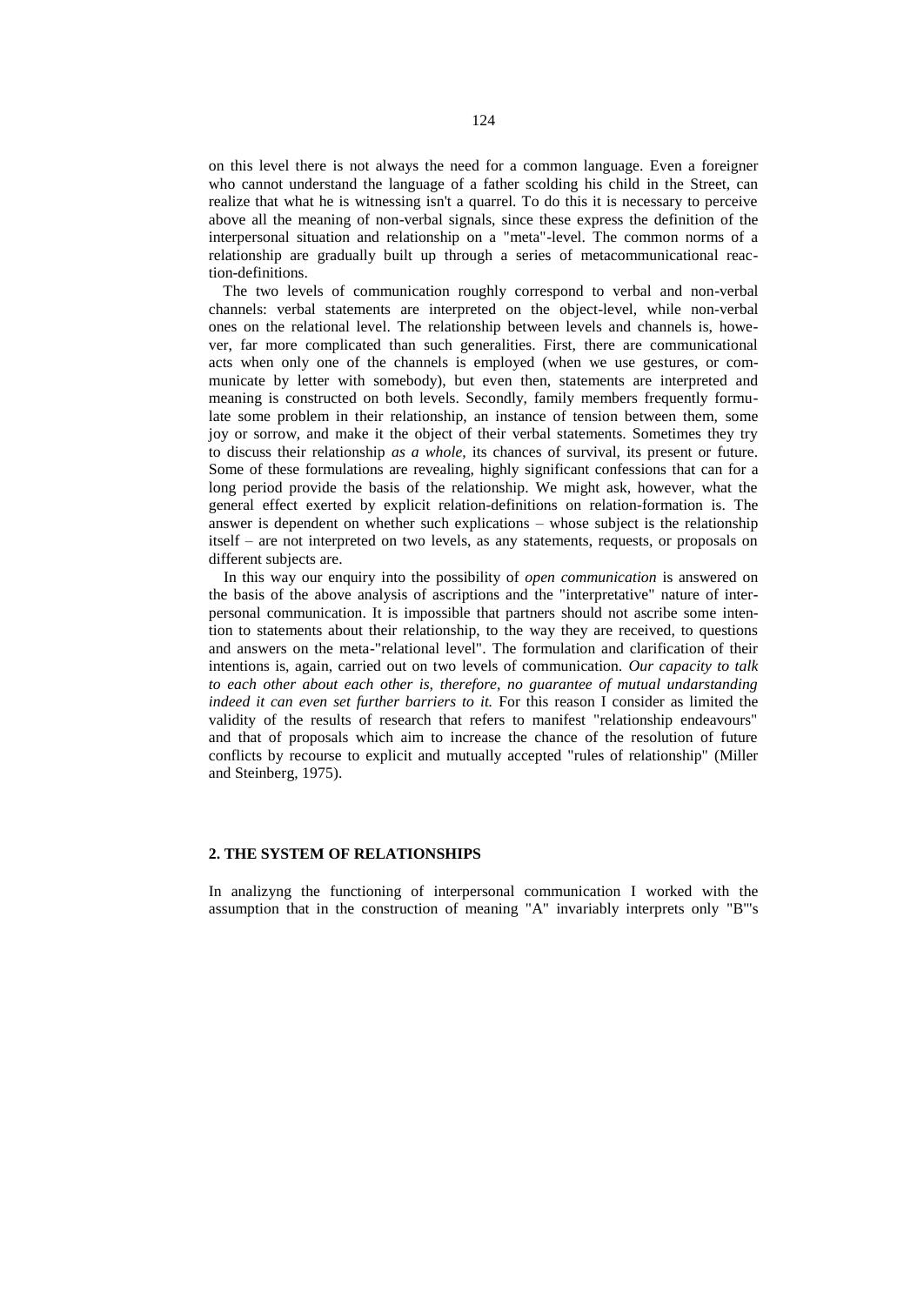on this level there is not always the need for a common language. Even a foreigner who cannot understand the language of a father scolding his child in the Street, can realize that what he is witnessing isn't a quarrel. To do this it is necessary to perceive above all the meaning of non-verbal signals, since these express the definition of the interpersonal situation and relationship on a "meta"-level. The common norms of a relationship are gradually built up through a series of metacommunicational reaction-definitions.

The two levels of communication roughly correspond to verbal and non-verbal channels: verbal statements are interpreted on the object-level, while non-verbal ones on the relational level. The relationship between levels and channels is, however, far more complicated than such generalities. First, there are communicational acts when only one of the channels is employed (when we use gestures, or communicate by letter with somebody), but even then, statements are interpreted and meaning is constructed on both levels. Secondly, family members frequently formulate some problem in their relationship, an instance of tension between them, some joy or sorrow, and make it the object of their verbal statements. Sometimes they try to discuss their relationship *as a whole,* its chances of survival, its present or future. Some of these formulations are revealing, highly significant confessions that can for a long period provide the basis of the relationship. We might ask, however, what the general effect exerted by explicit relation-definitions on relation-formation is. The answer is dependent on whether such explications – whose subject is the relationship itself – are not interpreted on two levels, as any statements, requests, or proposals on different subjects are.

In this way our enquiry into the possibility of *open communication* is answered on the basis of the above analysis of ascriptions and the "interpretative" nature of interpersonal communication. It is impossible that partners should not ascribe some intention to statements about their relationship, to the way they are received, to questions and answers on the meta-"relational level". The formulation and clarification of their intentions is, again, carried out on two levels of communication. *Our capacity to talk to each other about each other is, therefore, no guarantee of mutual undarstanding indeed it can even set further barriers to it.* For this reason I consider as limited the validity of the results of research that refers to manifest "relationship endeavours" and that of proposals which aim to increase the chance of the resolution of future conflicts by recourse to explicit and mutually accepted "rules of relationship" (Miller and Steinberg, 1975).

#### **2. THE SYSTEM OF RELATIONSHIPS**

In analizyng the functioning of interpersonal communication I worked with the assumption that in the construction of meaning "A" invariably interprets only "B'"s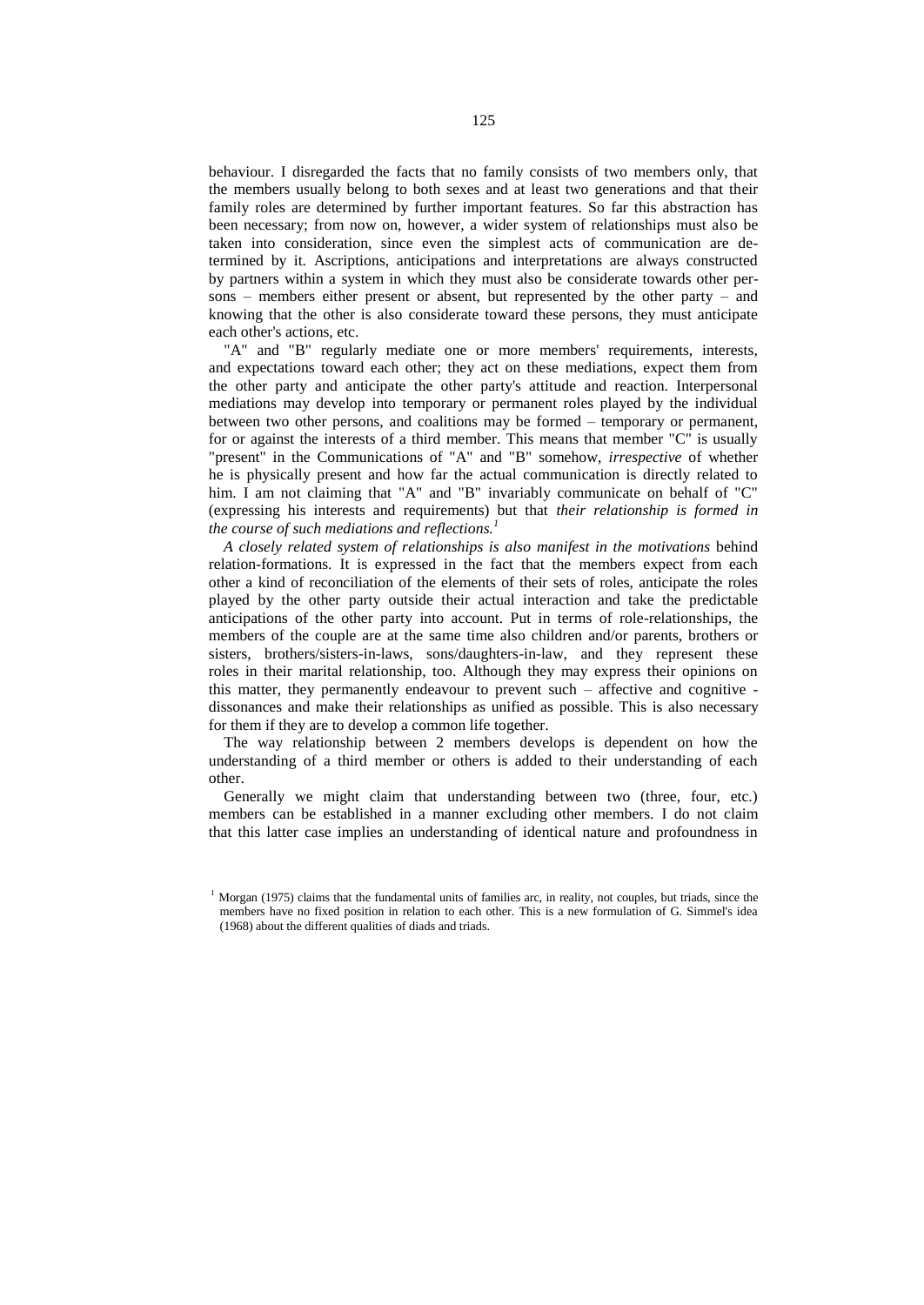behaviour. I disregarded the facts that no family consists of two members only, that the members usually belong to both sexes and at least two generations and that their family roles are determined by further important features. So far this abstraction has been necessary; from now on, however, a wider system of relationships must also be taken into consideration, since even the simplest acts of communication are determined by it. Ascriptions, anticipations and interpretations are always constructed by partners within a system in which they must also be considerate towards other persons – members either present or absent, but represented by the other party – and knowing that the other is also considerate toward these persons, they must anticipate each other's actions, etc.

"A" and "B" regularly mediate one or more members' requirements, interests, and expectations toward each other; they act on these mediations, expect them from the other party and anticipate the other party's attitude and reaction. Interpersonal mediations may develop into temporary or permanent roles played by the individual between two other persons, and coalitions may be formed – temporary or permanent, for or against the interests of a third member. This means that member "C" is usually "present" in the Communications of "A" and "B" somehow, *irrespective* of whether he is physically present and how far the actual communication is directly related to him. I am not claiming that "A" and "B" invariably communicate on behalf of "C" (expressing his interests and requirements) but that *their relationship is formed in the course of such mediations and reflections.<sup>1</sup>*

*A closely related system of relationships is also manifest in the motivations* behind relation-formations. It is expressed in the fact that the members expect from each other a kind of reconciliation of the elements of their sets of roles, anticipate the roles played by the other party outside their actual interaction and take the predictable anticipations of the other party into account. Put in terms of role-relationships, the members of the couple are at the same time also children and/or parents, brothers or sisters, brothers/sisters-in-laws, sons/daughters-in-law, and they represent these roles in their marital relationship, too. Although they may express their opinions on this matter, they permanently endeavour to prevent such – affective and cognitive dissonances and make their relationships as unified as possible. This is also necessary for them if they are to develop a common life together.

The way relationship between 2 members develops is dependent on how the understanding of a third member or others is added to their understanding of each other.

Generally we might claim that understanding between two (three, four, etc.) members can be established in a manner excluding other members. I do not claim that this latter case implies an understanding of identical nature and profoundness in

<sup>&</sup>lt;sup>1</sup> Morgan (1975) claims that the fundamental units of families arc, in reality, not couples, but triads, since the members have no fixed position in relation to each other. This is a new formulation of G. Simmel's idea (1968) about the different qualities of diads and triads.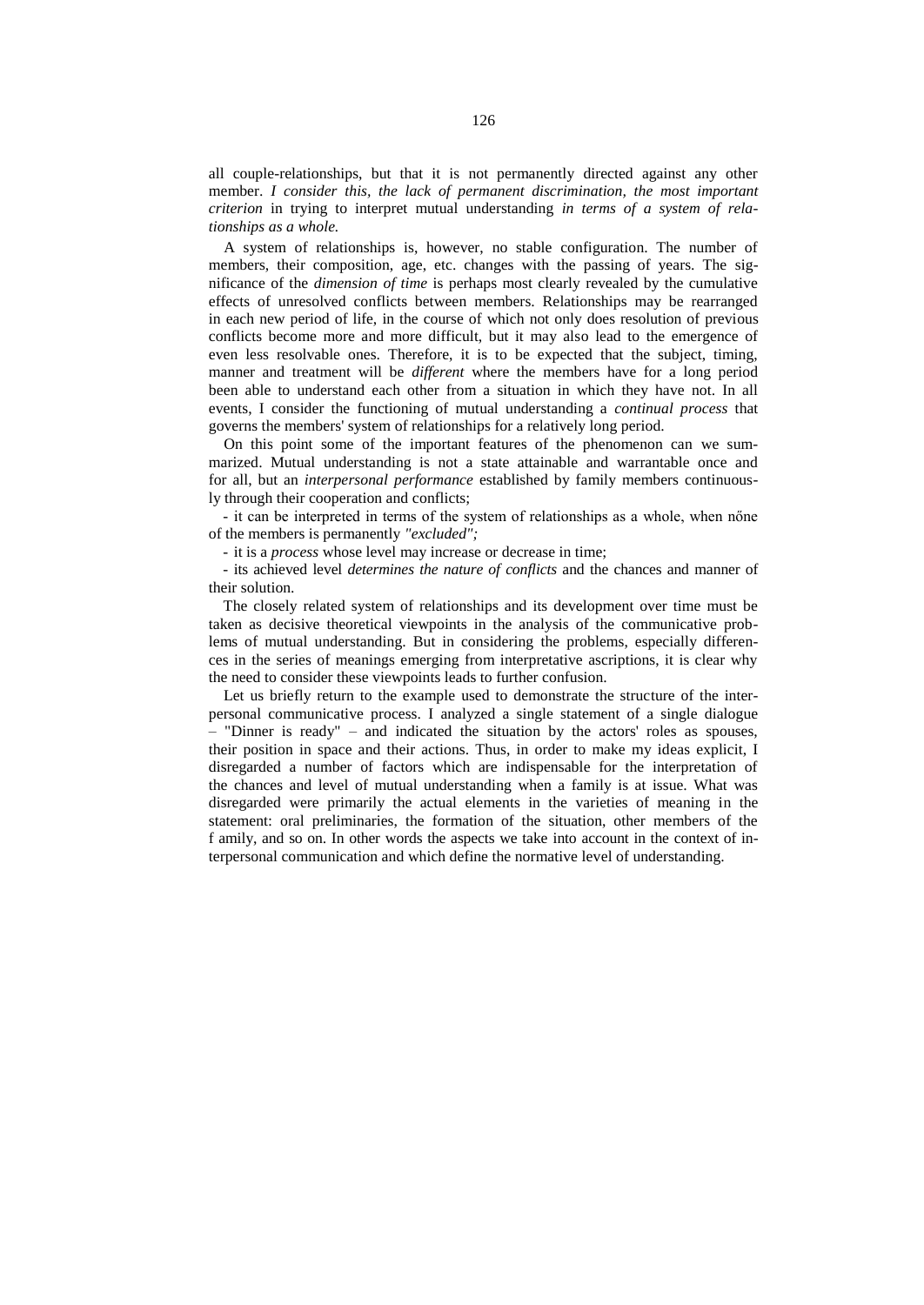all couple-relationships, but that it is not permanently directed against any other member. *I consider this, the lack of permanent discrimination, the most important criterion* in trying to interpret mutual understanding *in terms of a system of relationships as a whole.*

A system of relationships is, however, no stable configuration. The number of members, their composition, age, etc. changes with the passing of years. The significance of the *dimension of time* is perhaps most clearly revealed by the cumulative effects of unresolved conflicts between members. Relationships may be rearranged in each new period of life, in the course of which not only does resolution of previous conflicts become more and more difficult, but it may also lead to the emergence of even less resolvable ones. Therefore, it is to be expected that the subject, timing, manner and treatment will be *different* where the members have for a long period been able to understand each other from a situation in which they have not. In all events, I consider the functioning of mutual understanding a *continual process* that governs the members' system of relationships for a relatively long period.

On this point some of the important features of the phenomenon can we summarized. Mutual understanding is not a state attainable and warrantable once and for all, but an *interpersonal performance* established by family members continuously through their cooperation and conflicts;

- it can be interpreted in terms of the system of relationships as a whole, when nőne of the members is permanently *"excluded";*

- it is a *process* whose level may increase or decrease in time;

- its achieved level *determines the nature of conflicts* and the chances and manner of their solution.

The closely related system of relationships and its development over time must be taken as decisive theoretical viewpoints in the analysis of the communicative problems of mutual understanding. But in considering the problems, especially differences in the series of meanings emerging from interpretative ascriptions, it is clear why the need to consider these viewpoints leads to further confusion.

Let us briefly return to the example used to demonstrate the structure of the interpersonal communicative process. I analyzed a single statement of a single dialogue – "Dinner is ready" – and indicated the situation by the actors' roles as spouses, their position in space and their actions. Thus, in order to make my ideas explicit, I disregarded a number of factors which are indispensable for the interpretation of the chances and level of mutual understanding when a family is at issue. What was disregarded were primarily the actual elements in the varieties of meaning in the statement: oral preliminaries, the formation of the situation, other members of the f amily, and so on. In other words the aspects we take into account in the context of interpersonal communication and which define the normative level of understanding.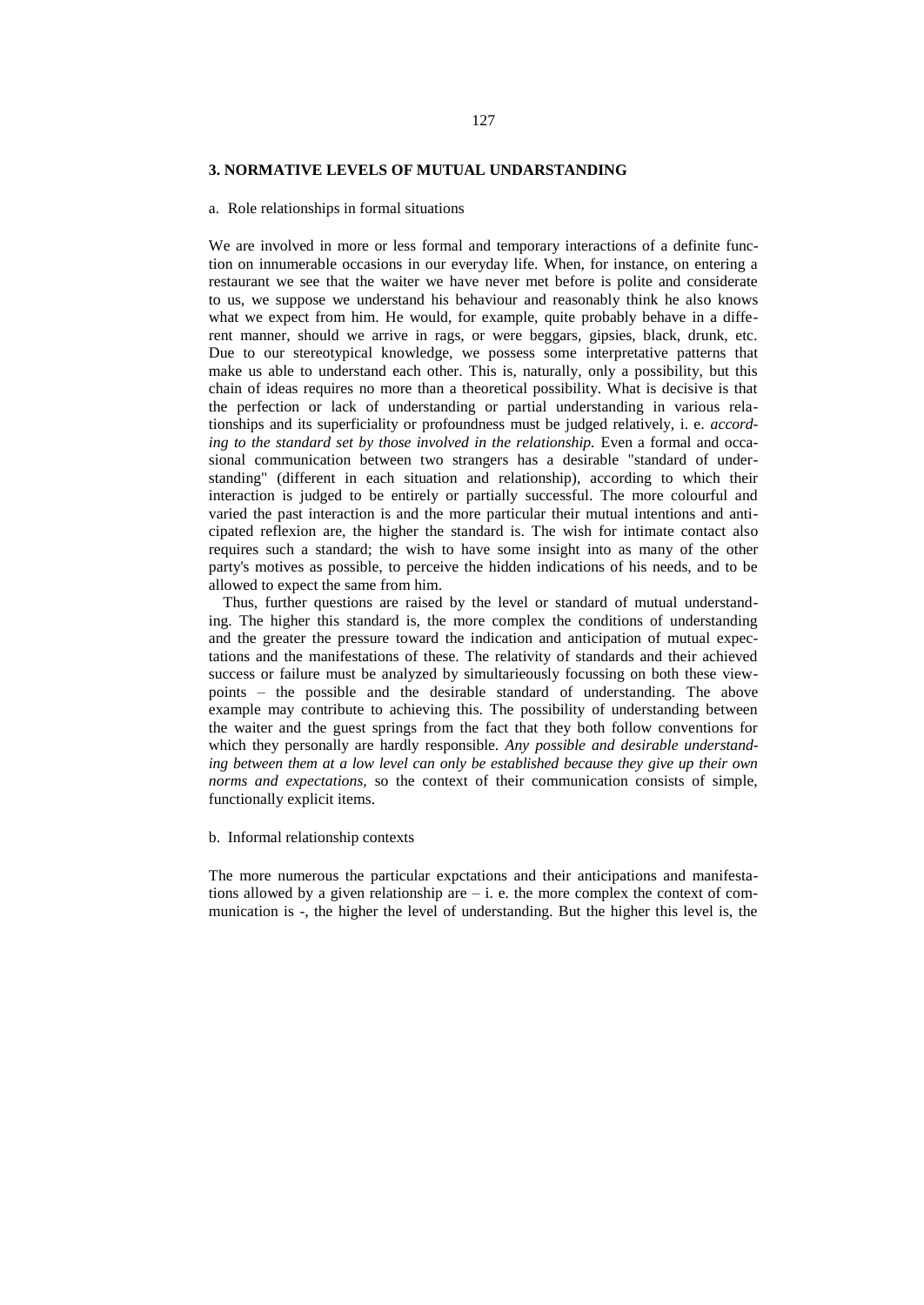#### **3. NORMATIVE LEVELS OF MUTUAL UNDARSTANDING**

#### a. Role relationships in formal situations

We are involved in more or less formal and temporary interactions of a definite function on innumerable occasions in our everyday life. When, for instance, on entering a restaurant we see that the waiter we have never met before is polite and considerate to us, we suppose we understand his behaviour and reasonably think he also knows what we expect from him. He would, for example, quite probably behave in a different manner, should we arrive in rags, or were beggars, gipsies, black, drunk, etc. Due to our stereotypical knowledge, we possess some interpretative patterns that make us able to understand each other. This is, naturally, only a possibility, but this chain of ideas requires no more than a theoretical possibility. What is decisive is that the perfection or lack of understanding or partial understanding in various relationships and its superficiality or profoundness must be judged relatively, i. e. *according to the standard set by those involved in the relationship.* Even a formal and occasional communication between two strangers has a desirable "standard of understanding" (different in each situation and relationship), according to which their interaction is judged to be entirely or partially successful. The more colourful and varied the past interaction is and the more particular their mutual intentions and anticipated reflexion are, the higher the standard is. The wish for intimate contact also requires such a standard; the wish to have some insight into as many of the other party's motives as possible, to perceive the hidden indications of his needs, and to be allowed to expect the same from him.

Thus, further questions are raised by the level or standard of mutual understanding. The higher this standard is, the more complex the conditions of understanding and the greater the pressure toward the indication and anticipation of mutual expectations and the manifestations of these. The relativity of standards and their achieved success or failure must be analyzed by simultarieously focussing on both these viewpoints – the possible and the desirable standard of understanding. The above example may contribute to achieving this. The possibility of understanding between the waiter and the guest springs from the fact that they both follow conventions for which they personally are hardly responsible. *Any possible and desirable understanding between them at a low level can only be established because they give up their own norms and expectations,* so the context of their communication consists of simple, functionally explicit items.

#### b. Informal relationship contexts

The more numerous the particular expctations and their anticipations and manifestations allowed by a given relationship are  $-$  i. e. the more complex the context of communication is -, the higher the level of understanding. But the higher this level is, the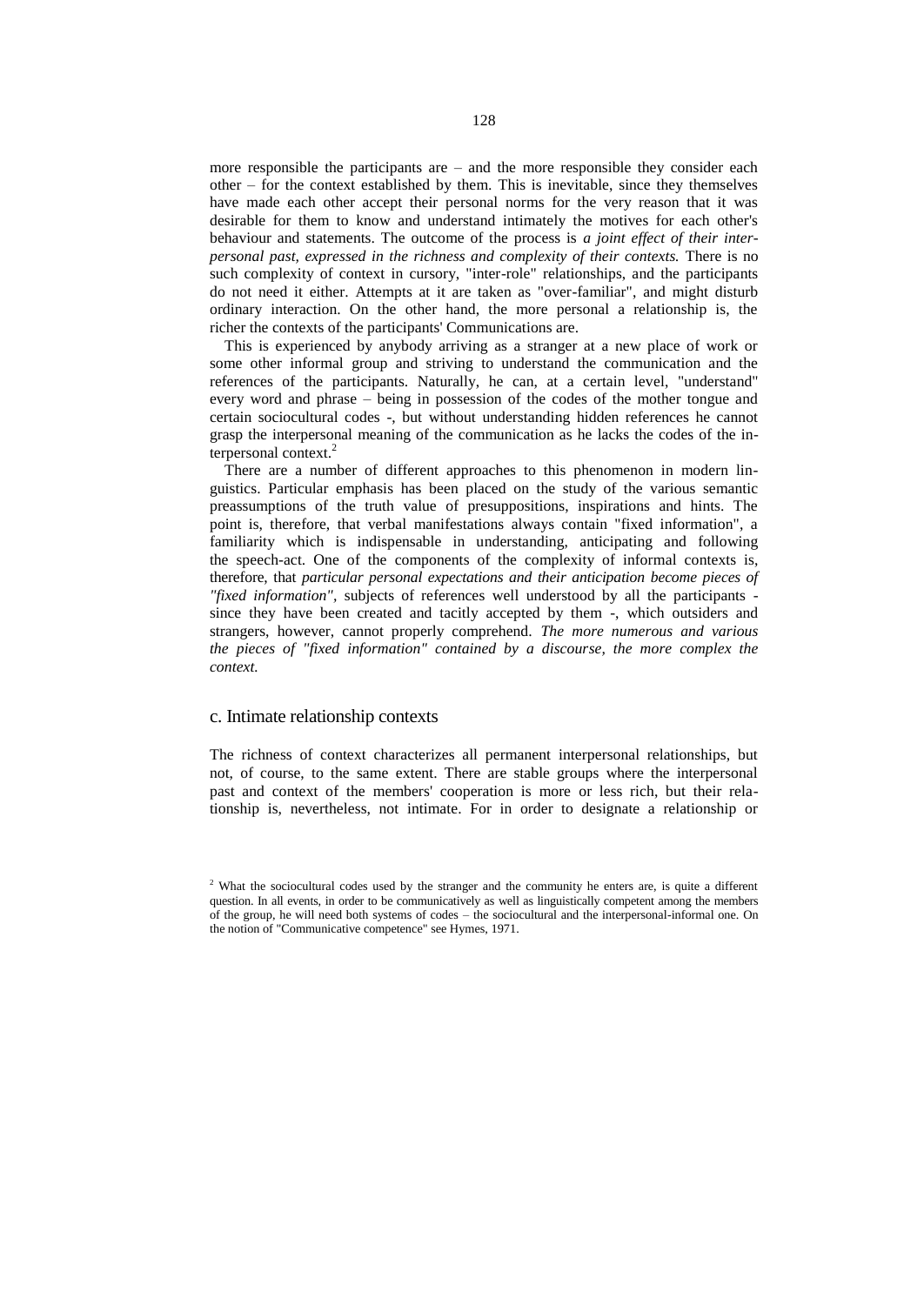more responsible the participants are  $-$  and the more responsible they consider each other – for the context established by them. This is inevitable, since they themselves have made each other accept their personal norms for the very reason that it was desirable for them to know and understand intimately the motives for each other's behaviour and statements. The outcome of the process is *a joint effect of their interpersonal past, expressed in the richness and complexity of their contexts.* There is no such complexity of context in cursory, "inter-role" relationships, and the participants do not need it either. Attempts at it are taken as "over-familiar", and might disturb ordinary interaction. On the other hand, the more personal a relationship is, the richer the contexts of the participants' Communications are.

This is experienced by anybody arriving as a stranger at a new place of work or some other informal group and striving to understand the communication and the references of the participants. Naturally, he can, at a certain level, "understand" every word and phrase – being in possession of the codes of the mother tongue and certain sociocultural codes -, but without understanding hidden references he cannot grasp the interpersonal meaning of the communication as he lacks the codes of the interpersonal context.<sup>2</sup>

There are a number of different approaches to this phenomenon in modern linguistics. Particular emphasis has been placed on the study of the various semantic preassumptions of the truth value of presuppositions, inspirations and hints. The point is, therefore, that verbal manifestations always contain "fixed information", a familiarity which is indispensable in understanding, anticipating and following the speech-act. One of the components of the complexity of informal contexts is, therefore, that *particular personal expectations and their anticipation become pieces of "fixed information",* subjects of references well understood by all the participants since they have been created and tacitly accepted by them -, which outsiders and strangers, however, cannot properly comprehend. *The more numerous and various the pieces of "fixed information" contained by a discourse, the more complex the context.*

#### c. Intimate relationship contexts

The richness of context characterizes all permanent interpersonal relationships, but not, of course, to the same extent. There are stable groups where the interpersonal past and context of the members' cooperation is more or less rich, but their relationship is, nevertheless, not intimate. For in order to designate a relationship or

<sup>2</sup> What the sociocultural codes used by the stranger and the community he enters are, is quite a different question. In all events, in order to be communicatively as well as linguistically competent among the members of the group, he will need both systems of codes – the sociocultural and the interpersonal-informal one. On the notion of "Communicative competence" see Hymes, 1971.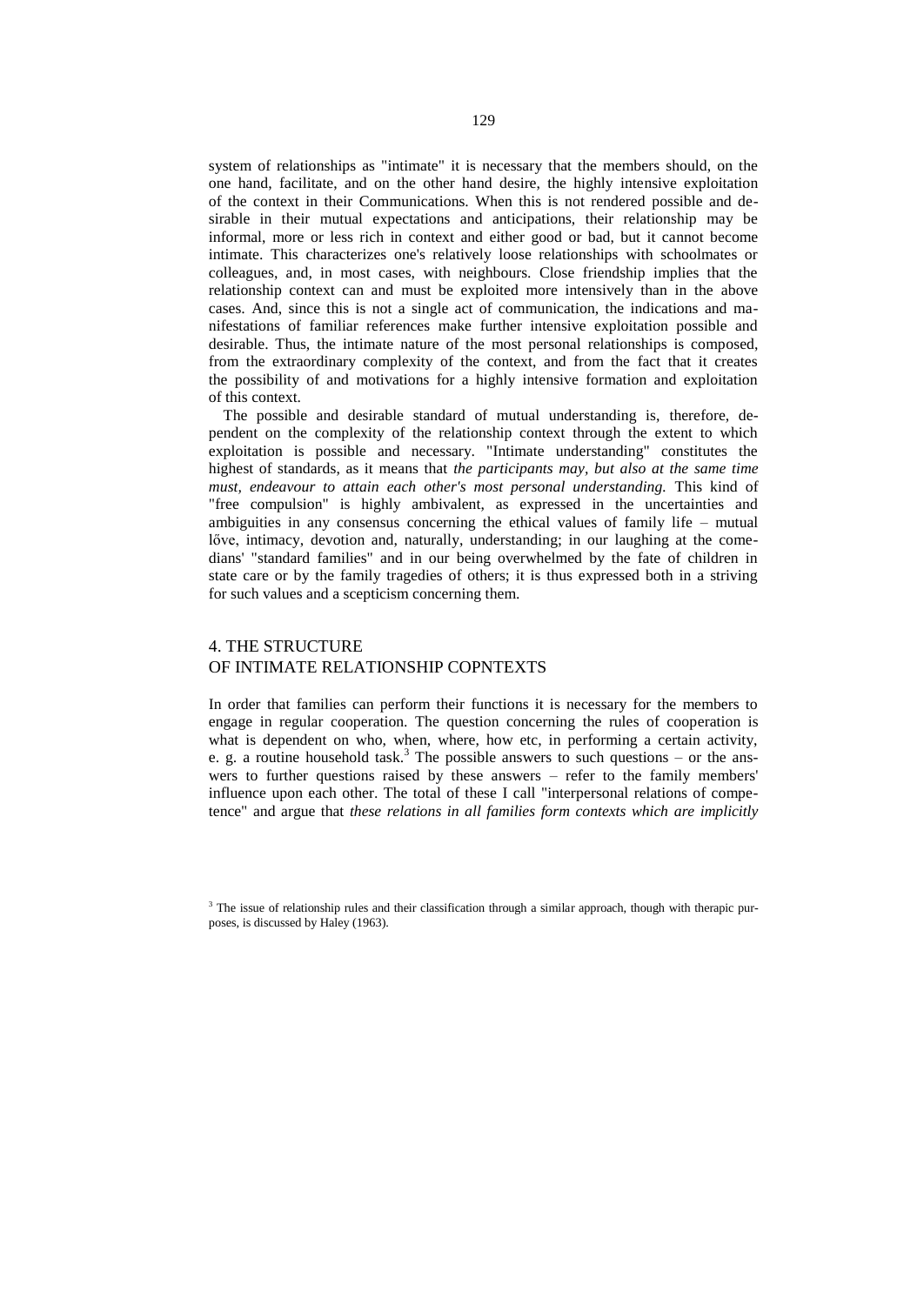system of relationships as "intimate" it is necessary that the members should, on the one hand, facilitate, and on the other hand desire, the highly intensive exploitation of the context in their Communications. When this is not rendered possible and desirable in their mutual expectations and anticipations, their relationship may be informal, more or less rich in context and either good or bad, but it cannot become intimate. This characterizes one's relatively loose relationships with schoolmates or colleagues, and, in most cases, with neighbours. Close friendship implies that the relationship context can and must be exploited more intensively than in the above cases. And, since this is not a single act of communication, the indications and manifestations of familiar references make further intensive exploitation possible and desirable. Thus, the intimate nature of the most personal relationships is composed, from the extraordinary complexity of the context, and from the fact that it creates the possibility of and motivations for a highly intensive formation and exploitation of this context.

The possible and desirable standard of mutual understanding is, therefore, dependent on the complexity of the relationship context through the extent to which exploitation is possible and necessary. "Intimate understanding" constitutes the highest of standards, as it means that *the participants may, but also at the same time must, endeavour to attain each other's most personal understanding.* This kind of "free compulsion" is highly ambivalent, as expressed in the uncertainties and ambiguities in any consensus concerning the ethical values of family life – mutual lőve, intimacy, devotion and, naturally, understanding; in our laughing at the comedians' "standard families" and in our being overwhelmed by the fate of children in state care or by the family tragedies of others; it is thus expressed both in a striving for such values and a scepticism concerning them.

## 4. THE STRUCTURE OF INTIMATE RELATIONSHIP COPNTEXTS

In order that families can perform their functions it is necessary for the members to engage in regular cooperation. The question concerning the rules of cooperation is what is dependent on who, when, where, how etc, in performing a certain activity, e. g. a routine household task.<sup>3</sup> The possible answers to such questions – or the answers to further questions raised by these answers – refer to the family members' influence upon each other. The total of these I call "interpersonal relations of competence" and argue that *these relations in all families form contexts which are implicitly*

<sup>&</sup>lt;sup>3</sup> The issue of relationship rules and their classification through a similar approach, though with therapic purposes, is discussed by Haley (1963).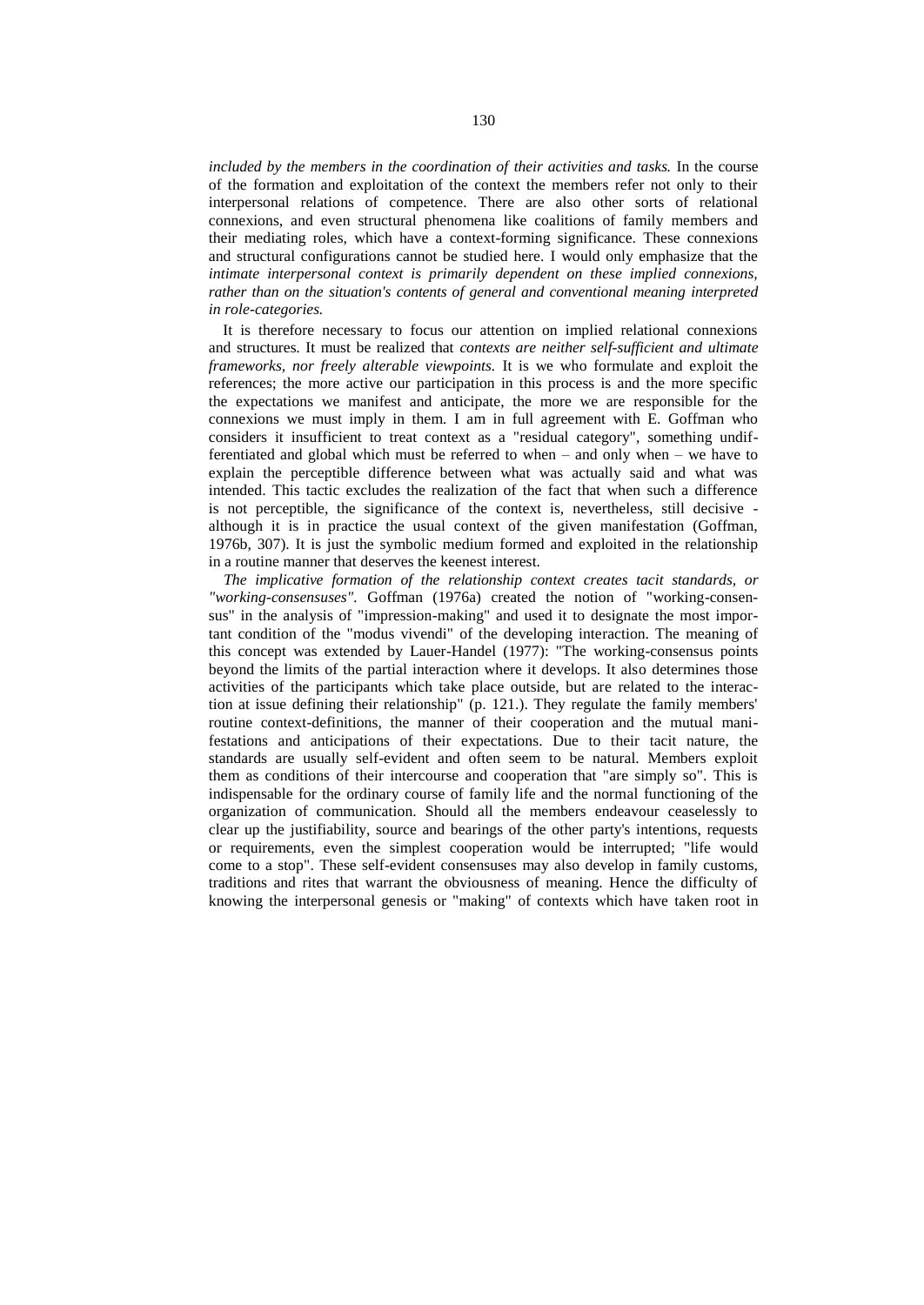*included by the members in the coordination of their activities and tasks.* In the course of the formation and exploitation of the context the members refer not only to their interpersonal relations of competence. There are also other sorts of relational connexions, and even structural phenomena like coalitions of family members and their mediating roles, which have a context-forming significance. These connexions and structural configurations cannot be studied here. I would only emphasize that the *intimate interpersonal context is primarily dependent on these implied connexions, rather than on the situation's contents of general and conventional meaning interpreted in role-categories.*

It is therefore necessary to focus our attention on implied relational connexions and structures. It must be realized that *contexts are neither self-sufficient and ultimate frameworks, nor freely alterable viewpoints.* It is we who formulate and exploit the references; the more active our participation in this process is and the more specific the expectations we manifest and anticipate, the more we are responsible for the connexions we must imply in them. I am in full agreement with E. Goffman who considers it insufficient to treat context as a "residual category", something undifferentiated and global which must be referred to when – and only when – we have to explain the perceptible difference between what was actually said and what was intended. This tactic excludes the realization of the fact that when such a difference is not perceptible, the significance of the context is, nevertheless, still decisive although it is in practice the usual context of the given manifestation (Goffman, 1976b, 307). It is just the symbolic medium formed and exploited in the relationship in a routine manner that deserves the keenest interest.

*The implicative formation of the relationship context creates tacit standards, or "working-consensuses".* Goffman (1976a) created the notion of "working-consensus" in the analysis of "impression-making" and used it to designate the most important condition of the "modus vivendi" of the developing interaction. The meaning of this concept was extended by Lauer-Handel (1977): "The working-consensus points beyond the limits of the partial interaction where it develops. It also determines those activities of the participants which take place outside, but are related to the interaction at issue defining their relationship" (p. 121.). They regulate the family members' routine context-definitions, the manner of their cooperation and the mutual manifestations and anticipations of their expectations. Due to their tacit nature, the standards are usually self-evident and often seem to be natural. Members exploit them as conditions of their intercourse and cooperation that "are simply so". This is indispensable for the ordinary course of family life and the normal functioning of the organization of communication. Should all the members endeavour ceaselessly to clear up the justifiability, source and bearings of the other party's intentions, requests or requirements, even the simplest cooperation would be interrupted; "life would come to a stop". These self-evident consensuses may also develop in family customs, traditions and rites that warrant the obviousness of meaning. Hence the difficulty of knowing the interpersonal genesis or "making" of contexts which have taken root in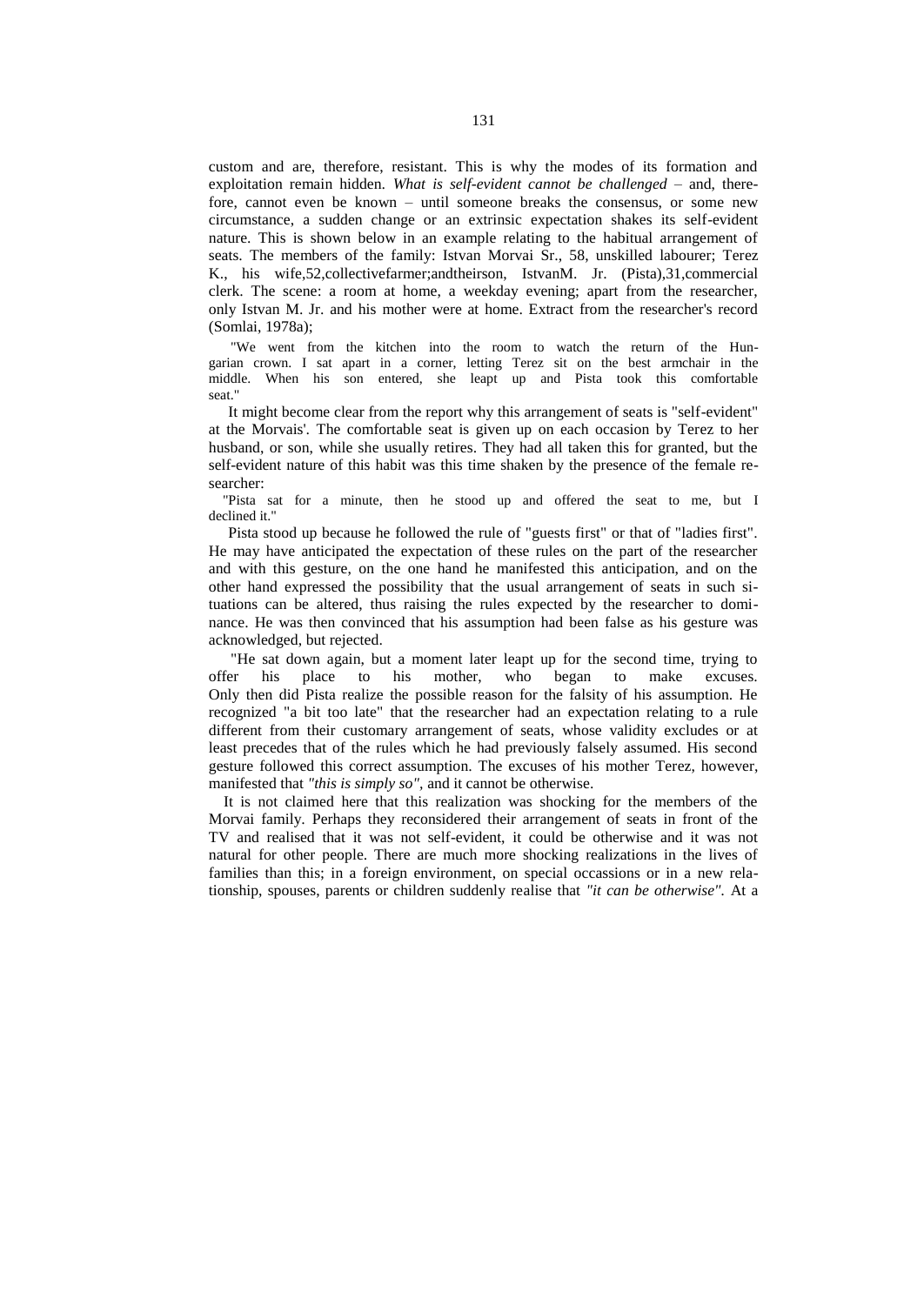custom and are, therefore, resistant. This is why the modes of its formation and exploitation remain hidden. *What is self-evident cannot be challenged –* and, therefore, cannot even be known – until someone breaks the consensus, or some new circumstance, a sudden change or an extrinsic expectation shakes its self-evident nature. This is shown below in an example relating to the habitual arrangement of seats. The members of the family: Istvan Morvai Sr., 58, unskilled labourer; Terez K., his wife,52,collectivefarmer;andtheirson, IstvanM. Jr. (Pista),31,commercial clerk. The scene: a room at home, a weekday evening; apart from the researcher, only Istvan M. Jr. and his mother were at home. Extract from the researcher's record (Somlai, 1978a);

"We went from the kitchen into the room to watch the return of the Hungarian crown. I sat apart in a corner, letting Terez sit on the best armchair in the middle. When his son entered, she leapt up and Pista took this comfortable seat."

 It might become clear from the report why this arrangement of seats is "self-evident" at the Morvais'. The comfortable seat is given up on each occasion by Terez to her husband, or son, while she usually retires. They had all taken this for granted, but the self-evident nature of this habit was this time shaken by the presence of the female researcher:

 "Pista sat for a minute, then he stood up and offered the seat to me, but I declined it."

Pista stood up because he followed the rule of "guests first" or that of "ladies first". He may have anticipated the expectation of these rules on the part of the researcher and with this gesture, on the one hand he manifested this anticipation, and on the other hand expressed the possibility that the usual arrangement of seats in such situations can be altered, thus raising the rules expected by the researcher to dominance. He was then convinced that his assumption had been false as his gesture was acknowledged, but rejected.

"He sat down again, but a moment later leapt up for the second time, trying to offer his place to his mother, who began to make excuses. Only then did Pista realize the possible reason for the falsity of his assumption. He recognized "a bit too late" that the researcher had an expectation relating to a rule different from their customary arrangement of seats, whose validity excludes or at least precedes that of the rules which he had previously falsely assumed. His second gesture followed this correct assumption. The excuses of his mother Terez, however, manifested that *"this is simply so",* and it cannot be otherwise.

It is not claimed here that this realization was shocking for the members of the Morvai family. Perhaps they reconsidered their arrangement of seats in front of the TV and realised that it was not self-evident, it could be otherwise and it was not natural for other people. There are much more shocking realizations in the lives of families than this; in a foreign environment, on special occassions or in a new relationship, spouses, parents or children suddenly realise that *"it can be otherwise".* At a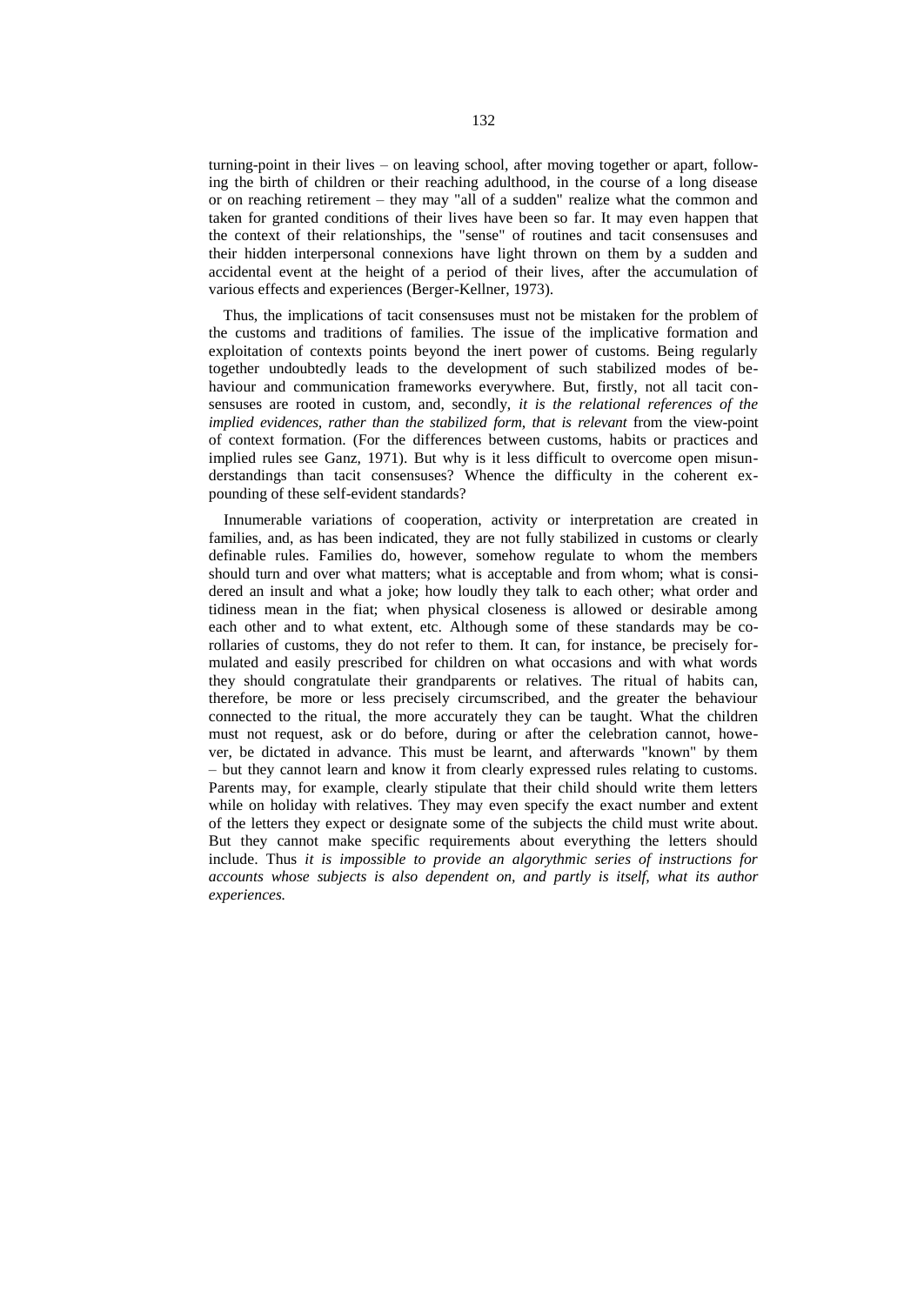turning-point in their lives – on leaving school, after moving together or apart, following the birth of children or their reaching adulthood, in the course of a long disease or on reaching retirement – they may "all of a sudden" realize what the common and taken for granted conditions of their lives have been so far. It may even happen that the context of their relationships, the "sense" of routines and tacit consensuses and their hidden interpersonal connexions have light thrown on them by a sudden and accidental event at the height of a period of their lives, after the accumulation of various effects and experiences (Berger-Kellner, 1973).

Thus, the implications of tacit consensuses must not be mistaken for the problem of the customs and traditions of families. The issue of the implicative formation and exploitation of contexts points beyond the inert power of customs. Being regularly together undoubtedly leads to the development of such stabilized modes of behaviour and communication frameworks everywhere. But, firstly, not all tacit consensuses are rooted in custom, and, secondly, *it is the relational references of the implied evidences, rather than the stabilized form, that is relevant* from the view-point of context formation. (For the differences between customs, habits or practices and implied rules see Ganz, 1971). But why is it less difficult to overcome open misunderstandings than tacit consensuses? Whence the difficulty in the coherent expounding of these self-evident standards?

Innumerable variations of cooperation, activity or interpretation are created in families, and, as has been indicated, they are not fully stabilized in customs or clearly definable rules. Families do, however, somehow regulate to whom the members should turn and over what matters; what is acceptable and from whom; what is considered an insult and what a joke; how loudly they talk to each other; what order and tidiness mean in the fiat; when physical closeness is allowed or desirable among each other and to what extent, etc. Although some of these standards may be corollaries of customs, they do not refer to them. It can, for instance, be precisely formulated and easily prescribed for children on what occasions and with what words they should congratulate their grandparents or relatives. The ritual of habits can, therefore, be more or less precisely circumscribed, and the greater the behaviour connected to the ritual, the more accurately they can be taught. What the children must not request, ask or do before, during or after the celebration cannot, however, be dictated in advance. This must be learnt, and afterwards "known" by them – but they cannot learn and know it from clearly expressed rules relating to customs. Parents may, for example, clearly stipulate that their child should write them letters while on holiday with relatives. They may even specify the exact number and extent of the letters they expect or designate some of the subjects the child must write about. But they cannot make specific requirements about everything the letters should include. Thus *it is impossible to provide an algorythmic series of instructions for accounts whose subjects is also dependent on, and partly is itself, what its author experiences.*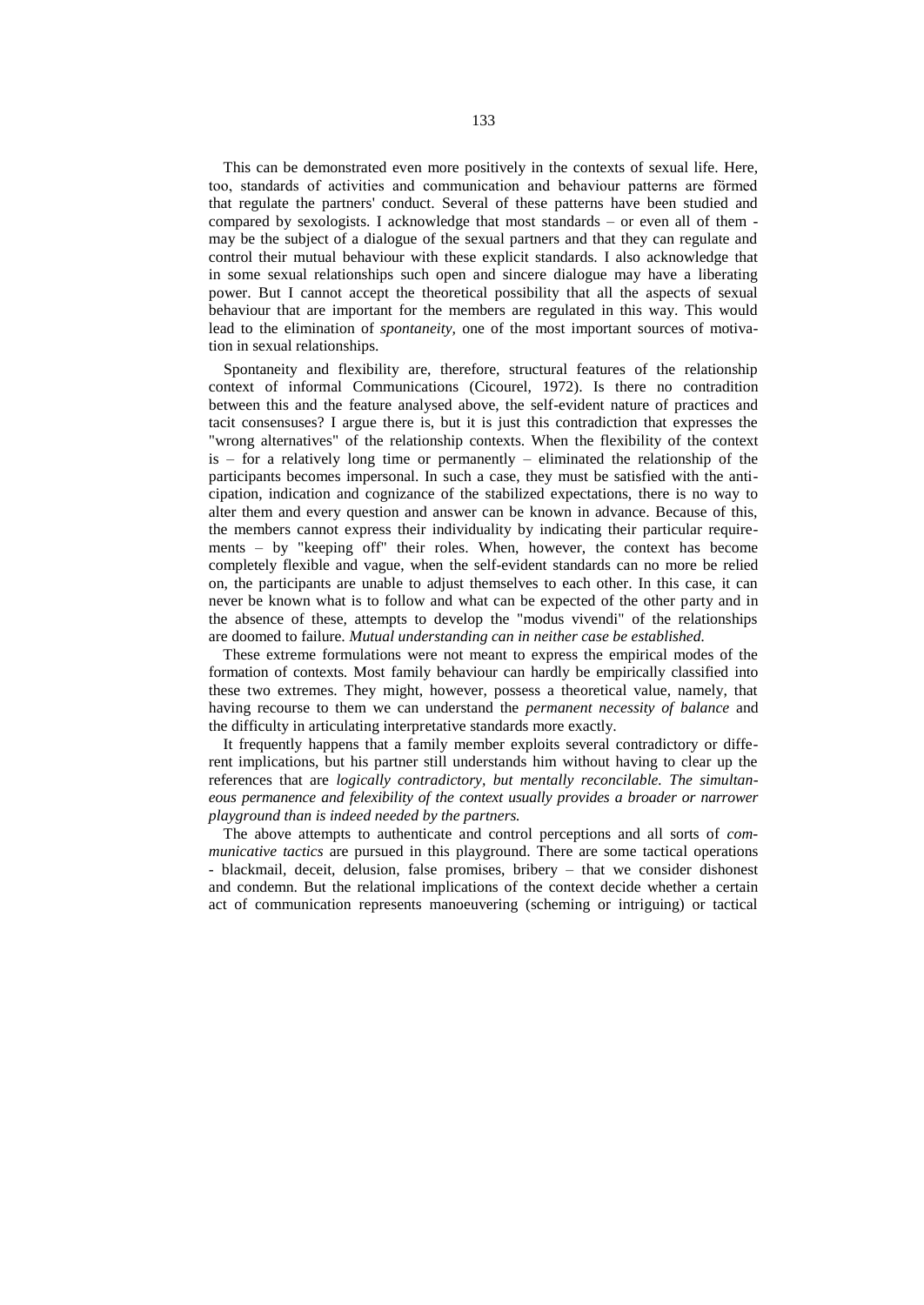This can be demonstrated even more positively in the contexts of sexual life. Here, too, standards of activities and communication and behaviour patterns are förmed that regulate the partners' conduct. Several of these patterns have been studied and compared by sexologists. I acknowledge that most standards – or even all of them may be the subject of a dialogue of the sexual partners and that they can regulate and control their mutual behaviour with these explicit standards. I also acknowledge that in some sexual relationships such open and sincere dialogue may have a liberating power. But I cannot accept the theoretical possibility that all the aspects of sexual behaviour that are important for the members are regulated in this way. This would lead to the elimination of *spontaneity,* one of the most important sources of motivation in sexual relationships.

Spontaneity and flexibility are, therefore, structural features of the relationship context of informal Communications (Cicourel, 1972). Is there no contradition between this and the feature analysed above, the self-evident nature of practices and tacit consensuses? I argue there is, but it is just this contradiction that expresses the "wrong alternatives" of the relationship contexts. When the flexibility of the context  $is - for a relatively long time or permanently - eliminated the relationship of the$ participants becomes impersonal. In such a case, they must be satisfied with the anticipation, indication and cognizance of the stabilized expectations, there is no way to alter them and every question and answer can be known in advance. Because of this, the members cannot express their individuality by indicating their particular requirements – by "keeping off" their roles. When, however, the context has become completely flexible and vague, when the self-evident standards can no more be relied on, the participants are unable to adjust themselves to each other. In this case, it can never be known what is to follow and what can be expected of the other party and in the absence of these, attempts to develop the "modus vivendi" of the relationships are doomed to failure. *Mutual understanding can in neither case be established.*

These extreme formulations were not meant to express the empirical modes of the formation of contexts. Most family behaviour can hardly be empirically classified into these two extremes. They might, however, possess a theoretical value, namely, that having recourse to them we can understand the *permanent necessity of balance* and the difficulty in articulating interpretative standards more exactly.

It frequently happens that a family member exploits several contradictory or different implications, but his partner still understands him without having to clear up the references that are *logically contradictory, but mentally reconcilable. The simultaneous permanence and felexibility of the context usually provides a broader or narrower playground than is indeed needed by the partners.*

The above attempts to authenticate and control perceptions and all sorts of *communicative tactics* are pursued in this playground. There are some tactical operations - blackmail, deceit, delusion, false promises, bribery – that we consider dishonest and condemn. But the relational implications of the context decide whether a certain act of communication represents manoeuvering (scheming or intriguing) or tactical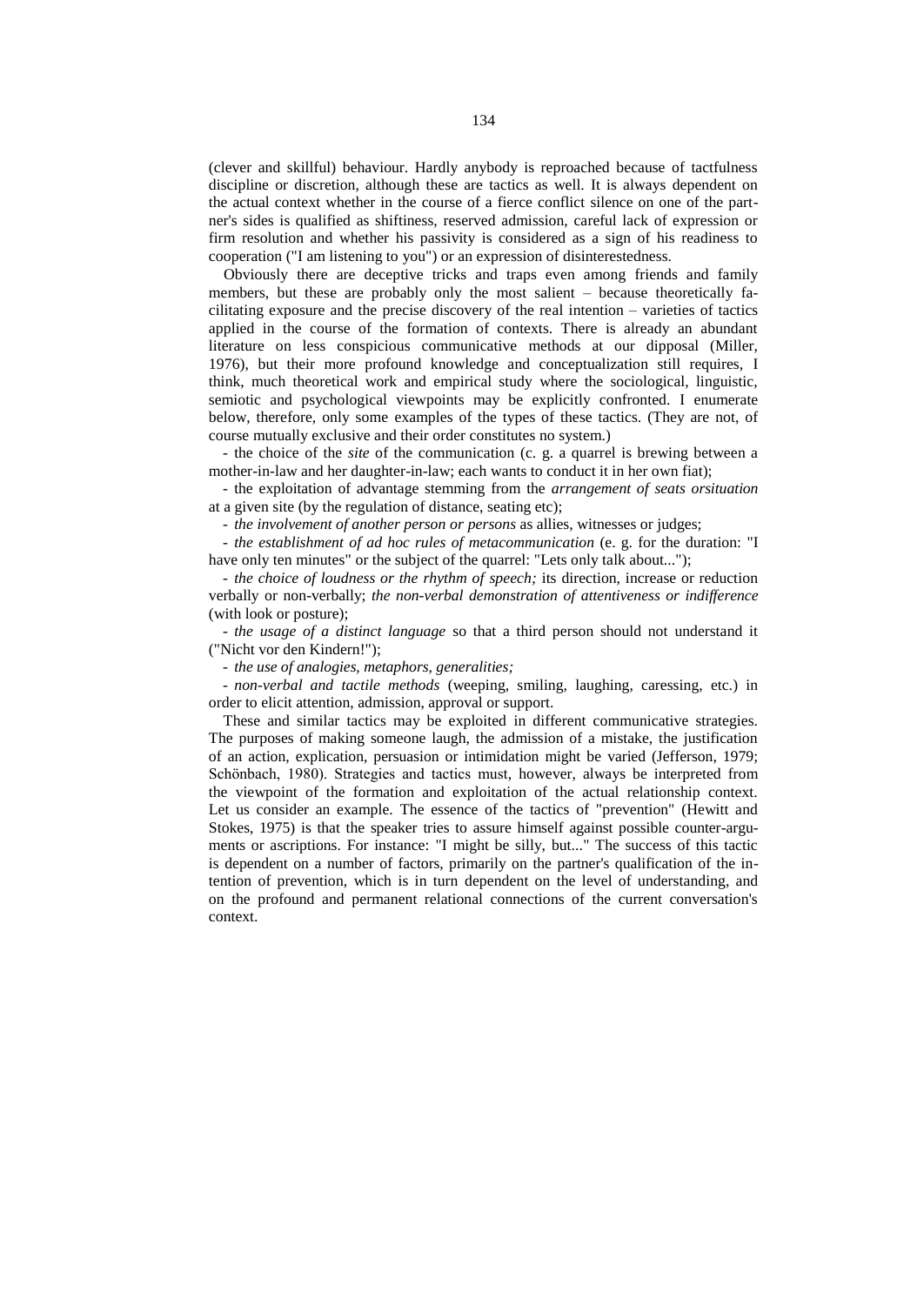(clever and skillful) behaviour. Hardly anybody is reproached because of tactfulness discipline or discretion, although these are tactics as well. It is always dependent on the actual context whether in the course of a fierce conflict silence on one of the partner's sides is qualified as shiftiness, reserved admission, careful lack of expression or firm resolution and whether his passivity is considered as a sign of his readiness to cooperation ("I am listening to you") or an expression of disinterestedness.

Obviously there are deceptive tricks and traps even among friends and family members, but these are probably only the most salient – because theoretically facilitating exposure and the precise discovery of the real intention – varieties of tactics applied in the course of the formation of contexts. There is already an abundant literature on less conspicious communicative methods at our dipposal (Miller, 1976), but their more profound knowledge and conceptualization still requires, I think, much theoretical work and empirical study where the sociological, linguistic, semiotic and psychological viewpoints may be explicitly confronted. I enumerate below, therefore, only some examples of the types of these tactics. (They are not, of course mutually exclusive and their order constitutes no system.)

- the choice of the *site* of the communication (c. g. a quarrel is brewing between a mother-in-law and her daughter-in-law; each wants to conduct it in her own fiat);

- the exploitation of advantage stemming from the *arrangement of seats orsituation* at a given site (by the regulation of distance, seating etc);

- *the involvement of another person or persons* as allies, witnesses or judges;

- *the establishment of ad hoc rules of metacommunication* (e. g. for the duration: "I have only ten minutes" or the subject of the quarrel: "Lets only talk about...");

- *the choice of loudness or the rhythm of speech;* its direction, increase or reduction verbally or non-verbally; *the non-verbal demonstration of attentiveness or indifference* (with look or posture);

- *the usage of a distinct language* so that a third person should not understand it ("Nicht vor den Kindern!");

- *the use of analogies, metaphors, generalities;*

- *non-verbal and tactile methods* (weeping, smiling, laughing, caressing, etc.) in order to elicit attention, admission, approval or support.

These and similar tactics may be exploited in different communicative strategies. The purposes of making someone laugh, the admission of a mistake, the justification of an action, explication, persuasion or intimidation might be varied (Jefferson, 1979; Schönbach, 1980). Strategies and tactics must, however, always be interpreted from the viewpoint of the formation and exploitation of the actual relationship context. Let us consider an example. The essence of the tactics of "prevention" (Hewitt and Stokes, 1975) is that the speaker tries to assure himself against possible counter-arguments or ascriptions. For instance: "I might be silly, but..." The success of this tactic is dependent on a number of factors, primarily on the partner's qualification of the intention of prevention, which is in turn dependent on the level of understanding, and on the profound and permanent relational connections of the current conversation's context.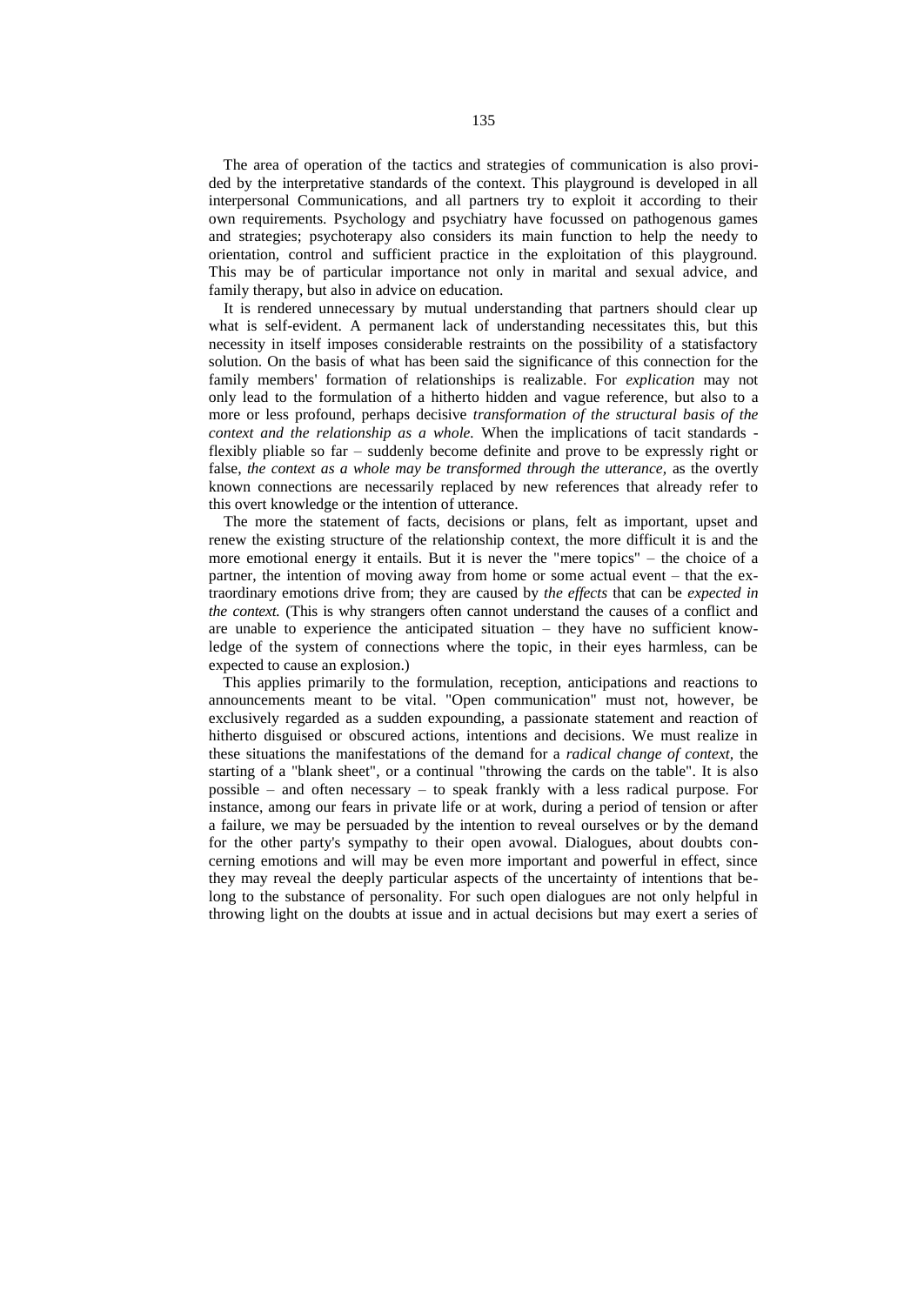The area of operation of the tactics and strategies of communication is also provided by the interpretative standards of the context. This playground is developed in all interpersonal Communications, and all partners try to exploit it according to their own requirements. Psychology and psychiatry have focussed on pathogenous games and strategies; psychoterapy also considers its main function to help the needy to orientation, control and sufficient practice in the exploitation of this playground. This may be of particular importance not only in marital and sexual advice, and family therapy, but also in advice on education.

It is rendered unnecessary by mutual understanding that partners should clear up what is self-evident. A permanent lack of understanding necessitates this, but this necessity in itself imposes considerable restraints on the possibility of a statisfactory solution. On the basis of what has been said the significance of this connection for the family members' formation of relationships is realizable. For *explication* may not only lead to the formulation of a hitherto hidden and vague reference, but also to a more or less profound, perhaps decisive *transformation of the structural basis of the context and the relationship as a whole.* When the implications of tacit standards flexibly pliable so far – suddenly become definite and prove to be expressly right or false, *the context as a whole may be transformed through the utterance*, as the overtly known connections are necessarily replaced by new references that already refer to this overt knowledge or the intention of utterance.

The more the statement of facts, decisions or plans, felt as important, upset and renew the existing structure of the relationship context, the more difficult it is and the more emotional energy it entails. But it is never the "mere topics" – the choice of a partner, the intention of moving away from home or some actual event – that the extraordinary emotions drive from; they are caused by *the effects* that can be *expected in the context.* (This is why strangers often cannot understand the causes of a conflict and are unable to experience the anticipated situation – they have no sufficient knowledge of the system of connections where the topic, in their eyes harmless, can be expected to cause an explosion.)

This applies primarily to the formulation, reception, anticipations and reactions to announcements meant to be vital. "Open communication" must not, however, be exclusively regarded as a sudden expounding, a passionate statement and reaction of hitherto disguised or obscured actions, intentions and decisions. We must realize in these situations the manifestations of the demand for a *radical change of context,* the starting of a "blank sheet", or a continual "throwing the cards on the table". It is also possible – and often necessary – to speak frankly with a less radical purpose. For instance, among our fears in private life or at work, during a period of tension or after a failure, we may be persuaded by the intention to reveal ourselves or by the demand for the other party's sympathy to their open avowal. Dialogues, about doubts concerning emotions and will may be even more important and powerful in effect, since they may reveal the deeply particular aspects of the uncertainty of intentions that belong to the substance of personality. For such open dialogues are not only helpful in throwing light on the doubts at issue and in actual decisions but may exert a series of